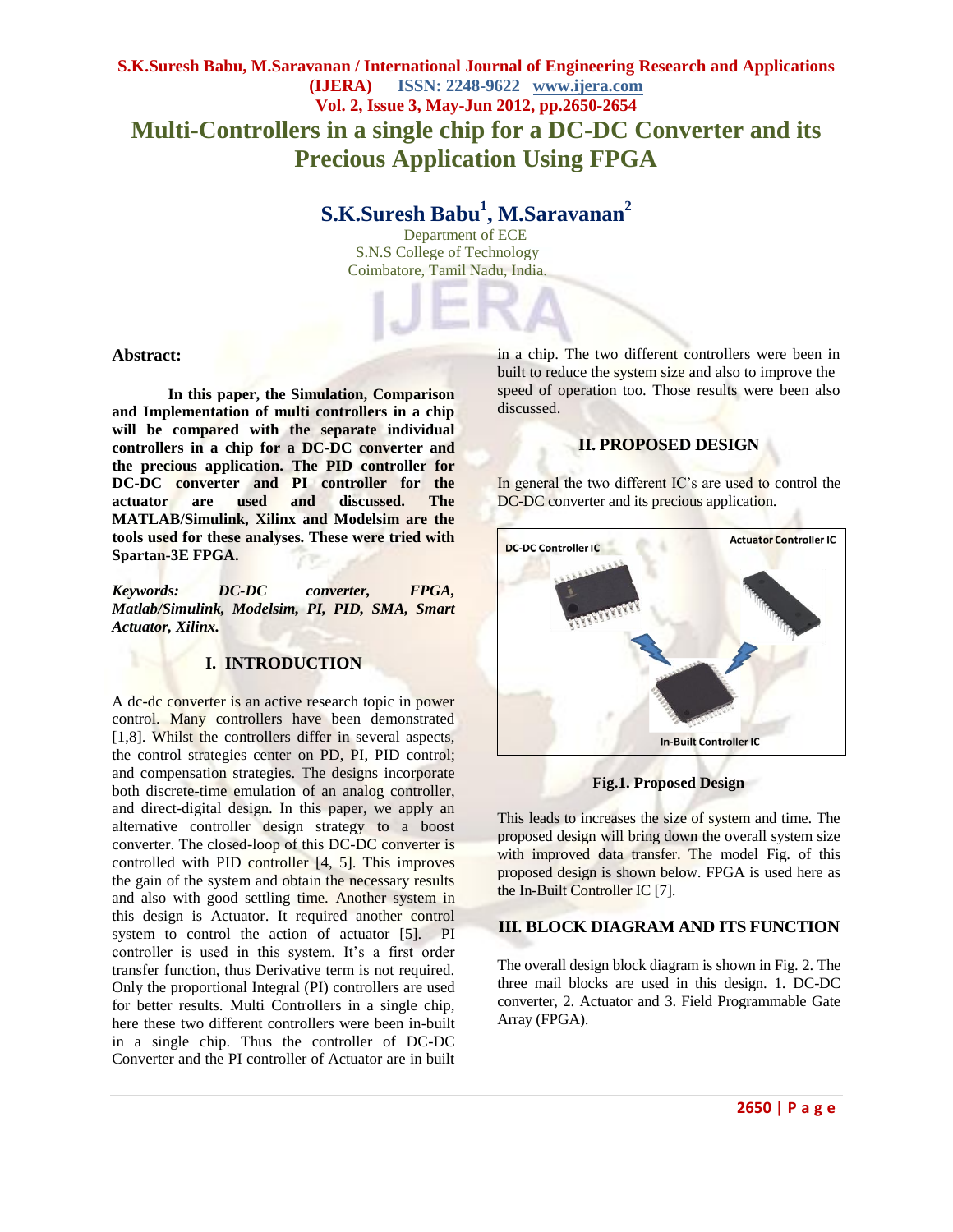## **S.K.Suresh Babu, M.Saravanan / International Journal of Engineering Research and Applications (IJERA) ISSN: 2248-9622 www.ijera.com Vol. 2, Issue 3, May-Jun 2012, pp.2650-2654 Multi-Controllers in a single chip for a DC-DC Converter and its Precious Application Using FPGA**

# **S.K.Suresh Babu<sup>1</sup> , M.Saravanan<sup>2</sup>**

 Department of ECE S.N.S College of Technology Coimbatore, Tamil Nadu, India.

#### **Abstract:**

**In this paper, the Simulation, Comparison and Implementation of multi controllers in a chip will be compared with the separate individual controllers in a chip for a DC-DC converter and the precious application. The PID controller for DC-DC converter and PI controller for the actuator are used and discussed. The MATLAB/Simulink, Xilinx and Modelsim are the tools used for these analyses. These were tried with Spartan-3E FPGA.**

*Keywords: DC-DC converter, FPGA, Matlab/Simulink, Modelsim, PI, PID, SMA, Smart Actuator, Xilinx.*

#### **I. INTRODUCTION**

A dc-dc converter is an active research topic in power control. Many controllers have been demonstrated [1,8]. Whilst the controllers differ in several aspects, the control strategies center on PD, PI, PID control; and compensation strategies. The designs incorporate both discrete-time emulation of an analog controller, and direct-digital design. In this paper, we apply an alternative controller design strategy to a boost converter. The closed-loop of this DC-DC converter is controlled with PID controller [4, 5]. This improves the gain of the system and obtain the necessary results and also with good settling time. Another system in this design is Actuator. It required another control system to control the action of actuator [5]. PI controller is used in this system. It's a first order transfer function, thus Derivative term is not required. Only the proportional Integral (PI) controllers are used for better results. Multi Controllers in a single chip, here these two different controllers were been in-built in a single chip. Thus the controller of DC-DC Converter and the PI controller of Actuator are in built

in a chip. The two different controllers were been in built to reduce the system size and also to improve the speed of operation too. Those results were been also discussed.

## **II. PROPOSED DESIGN**

In general the two different IC's are used to control the DC-DC converter and its precious application.



**Fig.1. Proposed Design**

This leads to increases the size of system and time. The proposed design will bring down the overall system size with improved data transfer. The model Fig. of this proposed design is shown below. FPGA is used here as the In-Built Controller IC [7].

## **III. BLOCK DIAGRAM AND ITS FUNCTION**

The overall design block diagram is shown in Fig. 2. The three mail blocks are used in this design. 1. DC-DC converter, 2. Actuator and 3. Field Programmable Gate Array (FPGA).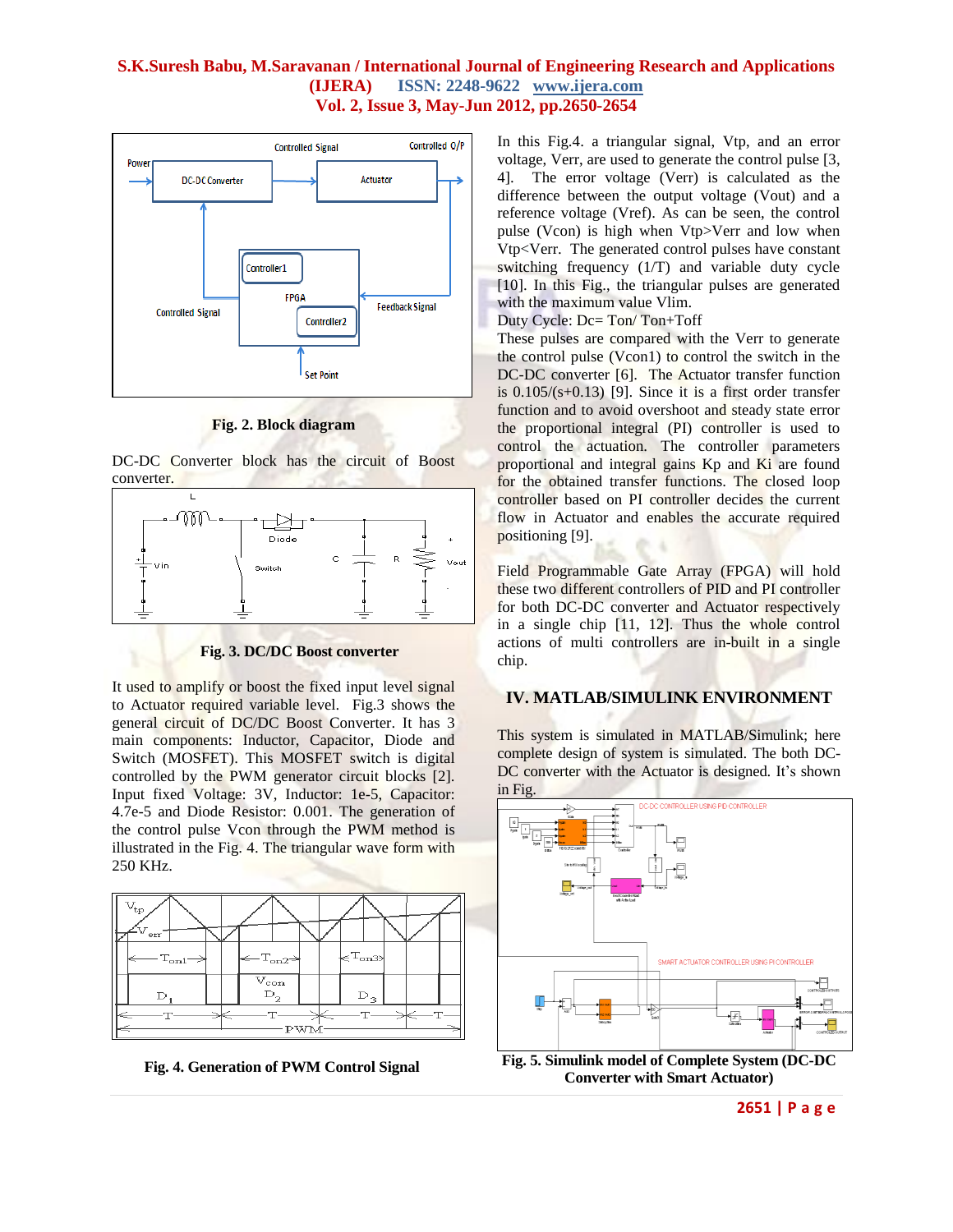

**Fig. 2. Block diagram**

DC-DC Converter block has the circuit of Boost converter.



**Fig. 3. DC/DC Boost converter**

It used to amplify or boost the fixed input level signal to Actuator required variable level. Fig.3 shows the general circuit of DC/DC Boost Converter. It has 3 main components: Inductor, Capacitor, Diode and Switch (MOSFET). This MOSFET switch is digital controlled by the PWM generator circuit blocks [2]. Input fixed Voltage: 3V, Inductor: 1e-5, Capacitor: 4.7e-5 and Diode Resistor: 0.001. The generation of the control pulse Vcon through the PWM method is illustrated in the Fig. 4. The triangular wave form with 250 KHz.



**Fig. 4. Generation of PWM Control Signal**

In this Fig.4. a triangular signal, Vtp, and an error voltage, Verr, are used to generate the control pulse [3, 4]. The error voltage (Verr) is calculated as the difference between the output voltage (Vout) and a reference voltage (Vref). As can be seen, the control pulse (Vcon) is high when Vtp>Verr and low when Vtp<Verr. The generated control pulses have constant switching frequency (1/T) and variable duty cycle [10]. In this Fig., the triangular pulses are generated with the maximum value Vlim.

#### Duty Cycle: Dc= Ton/ Ton+Toff

These pulses are compared with the Verr to generate the control pulse (Vcon1) to control the switch in the DC-DC converter [6]. The Actuator transfer function is  $0.105/(s+0.13)$  [9]. Since it is a first order transfer function and to avoid overshoot and steady state error the proportional integral (PI) controller is used to control the actuation. The controller parameters proportional and integral gains Kp and Ki are found for the obtained transfer functions. The closed loop controller based on PI controller decides the current flow in Actuator and enables the accurate required positioning [9].

Field Programmable Gate Array (FPGA) will hold these two different controllers of PID and PI controller for both DC-DC converter and Actuator respectively in a single chip [11, 12]. Thus the whole control actions of multi controllers are in-built in a single chip.

#### **IV. MATLAB/SIMULINK ENVIRONMENT**

This system is simulated in MATLAB/Simulink; here complete design of system is simulated. The both DC-DC converter with the Actuator is designed. It's shown in Fig.



**Converter with Smart Actuator)**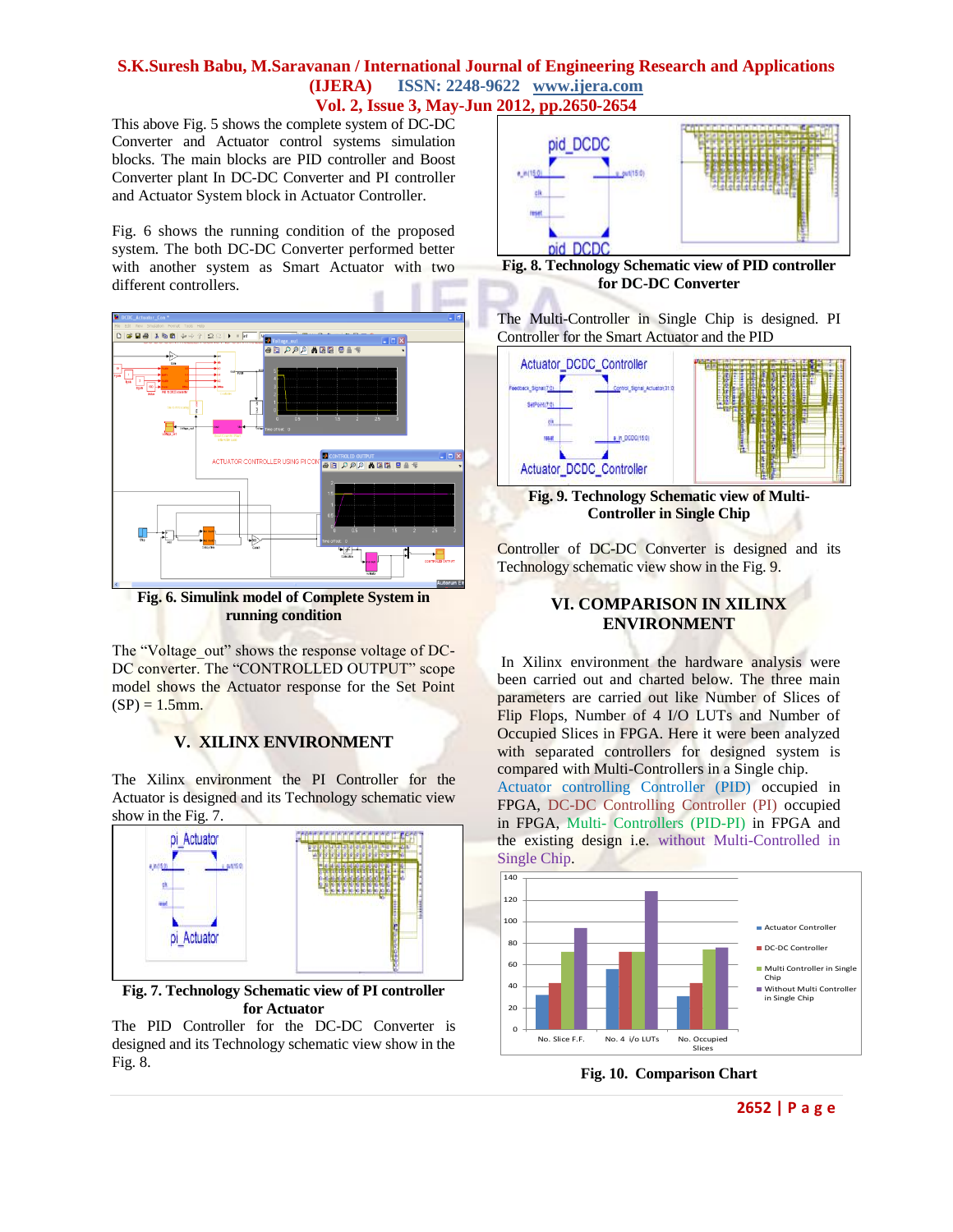This above Fig. 5 shows the complete system of DC-DC Converter and Actuator control systems simulation blocks. The main blocks are PID controller and Boost Converter plant In DC-DC Converter and PI controller and Actuator System block in Actuator Controller.

Fig. 6 shows the running condition of the proposed system. The both DC-DC Converter performed better with another system as Smart Actuator with two different controllers.



**Fig. 6. Simulink model of Complete System in running condition**

The "Voltage\_out" shows the response voltage of DC-DC converter. The "CONTROLLED OUTPUT" scope model shows the Actuator response for the Set Point  $(SP) = 1.5$ mm.

## **V. XILINX ENVIRONMENT**

The Xilinx environment the PI Controller for the Actuator is designed and its Technology schematic view show in the Fig. 7.



**Fig. 7. Technology Schematic view of PI controller for Actuator**

The PID Controller for the DC-DC Converter is designed and its Technology schematic view show in the Fig. 8.



**Fig. 8. Technology Schematic view of PID controller for DC-DC Converter**

The Multi-Controller in Single Chip is designed. PI Controller for the Smart Actuator and the PID



**Fig. 9. Technology Schematic view of Multi-Controller in Single Chip**

Controller of DC-DC Converter is designed and its Technology schematic view show in the Fig. 9.

## **VI. COMPARISON IN XILINX ENVIRONMENT**

In Xilinx environment the hardware analysis were been carried out and charted below. The three main parameters are carried out like Number of Slices of Flip Flops, Number of 4 I/O LUTs and Number of Occupied Slices in FPGA. Here it were been analyzed with separated controllers for designed system is compared with Multi-Controllers in a Single chip. Actuator controlling Controller (PID) occupied in FPGA, DC-DC Controlling Controller (PI) occupied in FPGA, Multi- Controllers (PID-PI) in FPGA and the existing design i.e. without Multi-Controlled in Single Chip.



**Fig. 10. Comparison Chart**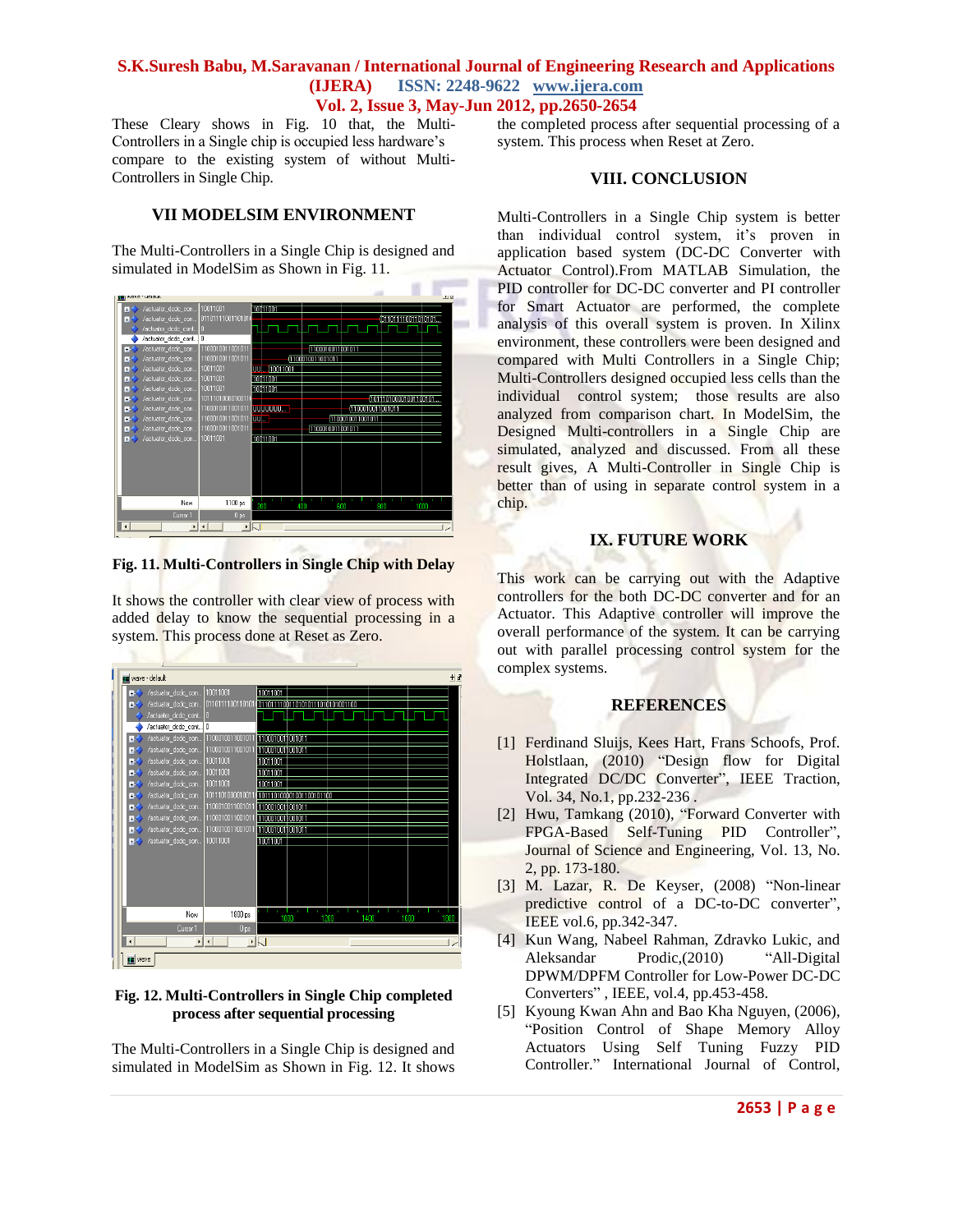These Cleary shows in Fig. 10 that, the Multi-Controllers in a Single chip is occupied less hardware's compare to the existing system of without Multi-Controllers in Single Chip.

## **VII MODELSIM ENVIRONMENT**

The Multi-Controllers in a Single Chip is designed and simulated in ModelSim as Shown in Fig. 11.



**Fig. 11. Multi-Controllers in Single Chip with Delay**

It shows the controller with clear view of process with added delay to know the sequential processing in a system. This process done at Reset as Zero.



#### **Fig. 12. Multi-Controllers in Single Chip completed process after sequential processing**

The Multi-Controllers in a Single Chip is designed and simulated in ModelSim as Shown in Fig. 12. It shows the completed process after sequential processing of a system. This process when Reset at Zero.

## **VIII. CONCLUSION**

Multi-Controllers in a Single Chip system is better than individual control system, it's proven in application based system (DC-DC Converter with Actuator Control).From MATLAB Simulation, the PID controller for DC-DC converter and PI controller for Smart Actuator are performed, the complete analysis of this overall system is proven. In Xilinx environment, these controllers were been designed and compared with Multi Controllers in a Single Chip; Multi-Controllers designed occupied less cells than the individual control system; those results are also analyzed from comparison chart. In ModelSim, the Designed Multi-controllers in a Single Chip are simulated, analyzed and discussed. From all these result gives, A Multi-Controller in Single Chip is better than of using in separate control system in a chip.

## **IX. FUTURE WORK**

This work can be carrying out with the Adaptive controllers for the both DC-DC converter and for an Actuator. This Adaptive controller will improve the overall performance of the system. It can be carrying out with parallel processing control system for the complex systems.

## **REFERENCES**

- [1] Ferdinand Sluijs, Kees Hart, Frans Schoofs, Prof. Holstlaan, (2010) "Design flow for Digital Integrated DC/DC Converter", IEEE Traction, Vol. 34, No.1, pp.232-236 .
- [2] Hwu, Tamkang (2010), "Forward Converter with FPGA-Based Self-Tuning PID Controller", Journal of Science and Engineering, Vol. 13, No. 2, pp. 173-180.
- [3] M. Lazar, R. De Keyser, (2008) "Non-linear predictive control of a DC-to-DC converter", IEEE vol.6, pp.342-347.
- [4] Kun Wang, Nabeel Rahman, Zdravko Lukic, and Aleksandar Prodic,(2010) "All-Digital DPWM/DPFM Controller for Low-Power DC-DC Converters" , IEEE, vol.4, pp.453-458.
- [5] Kyoung Kwan Ahn and Bao Kha Nguyen, (2006), "Position Control of Shape Memory Alloy Actuators Using Self Tuning Fuzzy PID Controller." International Journal of Control,